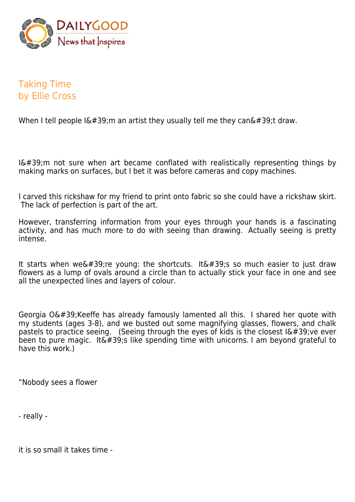

## Taking Time by Ellie Cross

When I tell people  $I\&\#39$ ; m an artist they usually tell me they can $\&\#39$ ; t draw.

 $I\'$ ; m not sure when art became conflated with realistically representing things by making marks on surfaces, but I bet it was before cameras and copy machines.

I carved this rickshaw for my friend to print onto fabric so she could have a rickshaw skirt. The lack of perfection is part of the art.

However, transferring information from your eyes through your hands is a fascinating activity, and has much more to do with seeing than drawing. Actually seeing is pretty intense.

It starts when we're young: the shortcuts. It's so much easier to just draw flowers as a lump of ovals around a circle than to actually stick your face in one and see all the unexpected lines and layers of colour.

Georgia O' Keeffe has already famously lamented all this. I shared her quote with my students (ages 3-8), and we busted out some magnifying glasses, flowers, and chalk pastels to practice seeing. (Seeing through the eyes of kids is the closest  $16#39$ ; ve ever been to pure magic. It  $\sqrt{439}$ ; like spending time with unicorns. I am beyond grateful to have this work.)

"Nobody sees a flower

- really -

it is so small it takes time -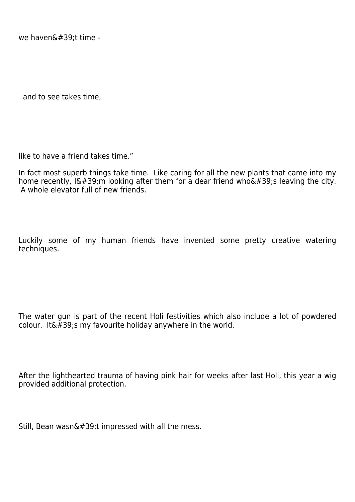we haven $\&\#39$ :t time -

and to see takes time,

like to have a friend takes time."

In fact most superb things take time. Like caring for all the new plants that came into my home recently, I'm looking after them for a dear friend who's leaving the city. A whole elevator full of new friends.

Luckily some of my human friends have invented some pretty creative watering techniques.

The water gun is part of the recent Holi festivities which also include a lot of powdered colour. It  $\&\#39$ ; s my favourite holiday anywhere in the world.

After the lighthearted trauma of having pink hair for weeks after last Holi, this year a wig provided additional protection.

Still, Bean wasn $\&\#39$ ;t impressed with all the mess.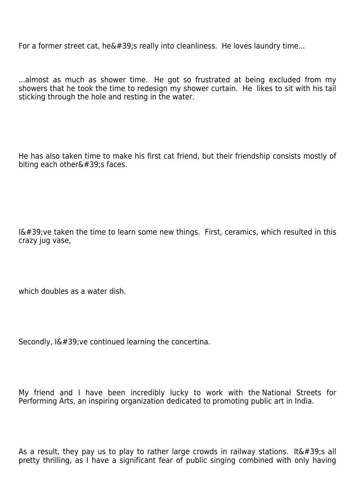For a former street cat, he $\&\#39$ ; really into cleanliness. He loves laundry time...

...almost as much as shower time. He got so frustrated at being excluded from my showers that he took the time to redesign my shower curtain. He likes to sit with his tail sticking through the hole and resting in the water.

He has also taken time to make his first cat friend, but their friendship consists mostly of biting each other $'$ ; faces.

 $I\'$ ; ve taken the time to learn some new things. First, ceramics, which resulted in this crazy jug vase,

which doubles as a water dish.

Secondly,  $I\&\#39$ ; ve continued learning the concertina.

My friend and I have been incredibly lucky to work with the National Streets for Performing Arts, an inspiring organization dedicated to promoting public art in India.

As a result, they pay us to play to rather large crowds in railway stations. It's all pretty thrilling, as I have a significant fear of public singing combined with only having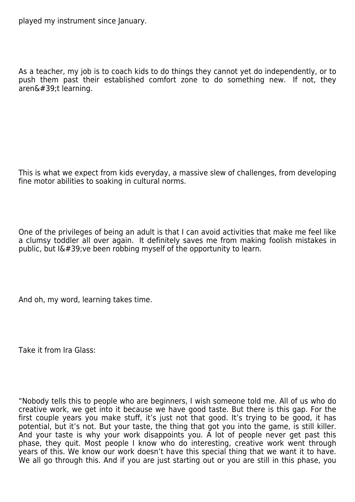played my instrument since January.

As a teacher, my job is to coach kids to do things they cannot yet do independently, or to push them past their established comfort zone to do something new. If not, they  $are$ n $\&$ #39;t learning.

This is what we expect from kids everyday, a massive slew of challenges, from developing fine motor abilities to soaking in cultural norms.

One of the privileges of being an adult is that I can avoid activities that make me feel like a clumsy toddler all over again. It definitely saves me from making foolish mistakes in public, but  $I\&\#39$ ; ve been robbing myself of the opportunity to learn.

And oh, my word, learning takes time.

Take it from Ira Glass:

"Nobody tells this to people who are beginners, I wish someone told me. All of us who do creative work, we get into it because we have good taste. But there is this gap. For the first couple years you make stuff, it's just not that good. It's trying to be good, it has potential, but it's not. But your taste, the thing that got you into the game, is still killer. And your taste is why your work disappoints you. A lot of people never get past this phase, they quit. Most people I know who do interesting, creative work went through years of this. We know our work doesn't have this special thing that we want it to have. We all go through this. And if you are just starting out or you are still in this phase, you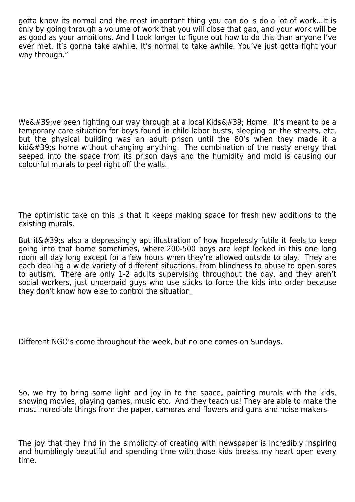gotta know its normal and the most important thing you can do is do a lot of work...It is only by going through a volume of work that you will close that gap, and your work will be as good as your ambitions. And I took longer to figure out how to do this than anyone I've ever met. It's gonna take awhile. It's normal to take awhile. You've just gotta fight your way through."

We&#39: ve been fighting our way through at a local Kids&#39: Home. It's meant to be a temporary care situation for boys found in child labor busts, sleeping on the streets, etc, but the physical building was an adult prison until the 80's when they made it a  $kid'$ ; home without changing anything. The combination of the nasty energy that seeped into the space from its prison days and the humidity and mold is causing our colourful murals to peel right off the walls.

The optimistic take on this is that it keeps making space for fresh new additions to the existing murals.

But it $\&\#39$ ; also a depressingly apt illustration of how hopelessly futile it feels to keep going into that home sometimes, where 200-500 boys are kept locked in this one long room all day long except for a few hours when they're allowed outside to play. They are each dealing a wide variety of different situations, from blindness to abuse to open sores to autism. There are only 1-2 adults supervising throughout the day, and they aren't social workers, just underpaid guys who use sticks to force the kids into order because they don't know how else to control the situation.

Different NGO's come throughout the week, but no one comes on Sundays.

So, we try to bring some light and joy in to the space, painting murals with the kids, showing movies, playing games, music etc. And they teach us! They are able to make the most incredible things from the paper, cameras and flowers and guns and noise makers.

The joy that they find in the simplicity of creating with newspaper is incredibly inspiring and humblingly beautiful and spending time with those kids breaks my heart open every time.